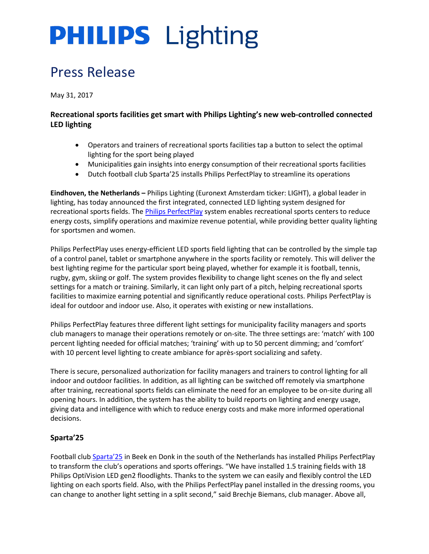# **PHILIPS** Lighting

### Press Release

May 31, 2017

### **Recreational sports facilities get smart with Philips Lighting's new web-controlled connected LED lighting**

- Operators and trainers of recreational sports facilities tap a button to select the optimal lighting for the sport being played
- Municipalities gain insights into energy consumption of their recreational sports facilities
- Dutch football club Sparta'25 installs Philips PerfectPlay to streamline its operations

**Eindhoven, the Netherlands –** Philips Lighting (Euronext Amsterdam ticker: LIGHT), a global leader in lighting, has today announced the first integrated, connected LED lighting system designed for recreational sports fields. The [Philips PerfectPlay](http://www.philips.com/perfectplay) system enables recreational sports centers to reduce energy costs, simplify operations and maximize revenue potential, while providing better quality lighting for sportsmen and women.

Philips PerfectPlay uses energy-efficient LED sports field lighting that can be controlled by the simple tap of a control panel, tablet or smartphone anywhere in the sports facility or remotely. This will deliver the best lighting regime for the particular sport being played, whether for example it is football, tennis, rugby, gym, skiing or golf. The system provides flexibility to change light scenes on the fly and select settings for a match or training. Similarly, it can light only part of a pitch, helping recreational sports facilities to maximize earning potential and significantly reduce operational costs. Philips PerfectPlay is ideal for outdoor and indoor use. Also, it operates with existing or new installations.

Philips PerfectPlay features three different light settings for municipality facility managers and sports club managers to manage their operations remotely or on-site. The three settings are: 'match' with 100 percent lighting needed for official matches; 'training' with up to 50 percent dimming; and 'comfort' with 10 percent level lighting to create ambiance for après-sport socializing and safety.

There is secure, personalized authorization for facility managers and trainers to control lighting for all indoor and outdoor facilities. In addition, as all lighting can be switched off remotely via smartphone after training, recreational sports fields can eliminate the need for an employee to be on-site during all opening hours. In addition, the system has the ability to build reports on lighting and energy usage, giving data and intelligence with which to reduce energy costs and make more informed operational decisions.

### **Sparta'25**

Football club [Sparta](http://www.sparta25.nl/)'25 in Beek en Donk in the south of the Netherlands has installed Philips PerfectPlay to transform the club's operations and sports offerings. "We have installed 1.5 training fields with 18 Philips OptiVision LED gen2 floodlights. Thanks to the system we can easily and flexibly control the LED lighting on each sports field. Also, with the Philips PerfectPlay panel installed in the dressing rooms, you can change to another light setting in a split second," said Brechje Biemans, club manager. Above all,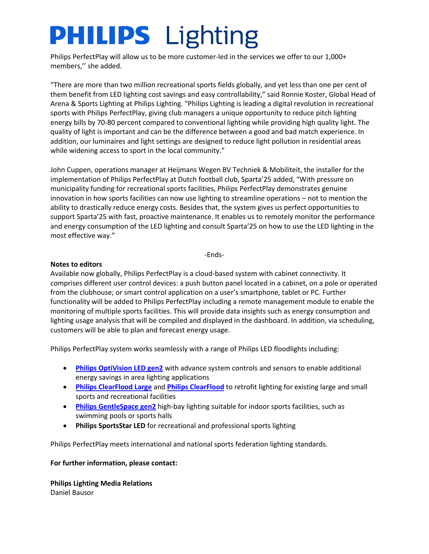# **PHILIPS** Lighting

Philips PerfectPlay will allow us to be more customer-led in the services we offer to our 1,000+ members,'' she added.

"There are more than two million recreational sports fields globally, and yet less than one per cent of them benefit from LED lighting cost savings and easy controllability," said Ronnie Koster, Global Head of Arena & Sports Lighting at Philips Lighting. "Philips Lighting is leading a digital revolution in recreational sports with Philips PerfectPlay, giving club managers a unique opportunity to reduce pitch lighting energy bills by 70-80 percent compared to conventional lighting while providing high quality light. The quality of light is important and can be the difference between a good and bad match experience. In addition, our luminaires and light settings are designed to reduce light pollution in residential areas while widening access to sport in the local community."

John Cuppen, operations manager at Heijmans Wegen BV Techniek & Mobiliteit, the installer for the implementation of Philips PerfectPlay at Dutch football club, Sparta'25 added, "With pressure on municipality funding for recreational sports facilities, Philips PerfectPlay demonstrates genuine innovation in how sports facilities can now use lighting to streamline operations – not to mention the ability to drastically reduce energy costs. Besides that, the system gives us perfect opportunities to support Sparta'25 with fast, proactive maintenance. It enables us to remotely monitor the performance and energy consumption of the LED lighting and consult Sparta'25 on how to use the LED lighting in the most effective way."

-Ends-

#### **Notes to editors**

Available now globally, Philips PerfectPlay is a cloud-based system with cabinet connectivity. It comprises different user control devices: a push button panel located in a cabinet, on a pole or operated from the clubhouse; or smart control application on a user's smartphone, tablet or PC. Further functionality will be added to Philips PerfectPlay including a remote management module to enable the monitoring of multiple sports facilities. This will provide data insights such as energy consumption and lighting usage analysis that will be compiled and displayed in the dashboard. In addition, via scheduling, customers will be able to plan and forecast energy usage.

Philips PerfectPlay system works seamlessly with a range of Philips LED floodlights including:

- **[Philips OptiVision LED gen2](http://www.lighting.philips.com/main/prof/outdoor-luminaires/sports-and-area-floodlighting/area-and-recreational-floodlighting/optivision-led-gen2)** with advance system controls and sensors to enable additional energy savings in area lighting applications
- **[Philips ClearFlood Large](http://www.lighting.philips.com/main/prof/outdoor-luminaires/sports-and-area-floodlighting/area-and-recreational-floodlighting/clearflood-large)** and **[Philips ClearFlood](http://www.lighting.philips.com/main/prof/outdoor-luminaires/sports-and-area-floodlighting/area-and-recreational-floodlighting/clearflood-large)** to retrofit lighting for existing large and small sports and recreational facilities
- **[Philips GentleSpace gen2](http://www.lighting.philips.com/main/prof/indoor-luminaires/high-bay-and-low-bay/high-bay/gentlespace-gen2)** high-bay lighting suitable for indoor sports facilities, such as swimming pools or sports halls
- **Philips SportsStar LED** for recreational and professional sports lighting

Philips PerfectPlay meets international and national sports federation lighting standards.

#### **For further information, please contact:**

**Philips Lighting Media Relations** Daniel Bausor